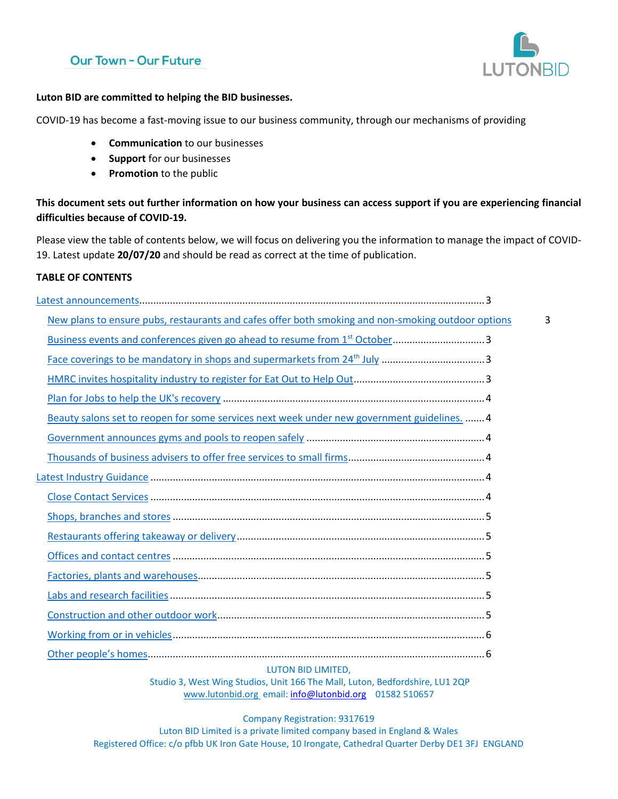# **Our Town - Our Future**



#### **Luton BID are committed to helping the BID businesses.**

COVID-19 has become a fast-moving issue to our business community, through our mechanisms of providing

- **Communication** to our businesses
- **Support** for our businesses
- **Promotion** to the public

**This document sets out further information on how your business can access support if you are experiencing financial difficulties because of COVID-19.** 

Please view the table of contents below, we will focus on delivering you the information to manage the impact of COVID-19. Latest update **20/07/20** and should be read as correct at the time of publication.

#### **TABLE OF CONTENTS**

| New plans to ensure pubs, restaurants and cafes offer both smoking and non-smoking outdoor options | 3 |
|----------------------------------------------------------------------------------------------------|---|
| Business events and conferences given go ahead to resume from 1 <sup>st</sup> October3             |   |
| Face coverings to be mandatory in shops and supermarkets from 24 <sup>th</sup> July 3              |   |
|                                                                                                    |   |
|                                                                                                    |   |
| Beauty salons set to reopen for some services next week under new government guidelines.  4        |   |
|                                                                                                    |   |
|                                                                                                    |   |
|                                                                                                    |   |
|                                                                                                    |   |
|                                                                                                    |   |
|                                                                                                    |   |
|                                                                                                    |   |
|                                                                                                    |   |
|                                                                                                    |   |
|                                                                                                    |   |
|                                                                                                    |   |
|                                                                                                    |   |
|                                                                                                    |   |

#### LUTON BID LIMITED,

Studio 3, West Wing Studios, Unit 166 The Mall, Luton, Bedfordshire, LU1 2QP [www.lutonbid.org](http://www.lutonbid.org/) email: [info@lutonbid.org](mailto:info@lutonbid.org) 01582 510657

#### Company Registration: 9317619

Luton BID Limited is a private limited company based in England & Wales Registered Office: c/o pfbb UK Iron Gate House, 10 Irongate, Cathedral Quarter Derby DE1 3FJ ENGLAND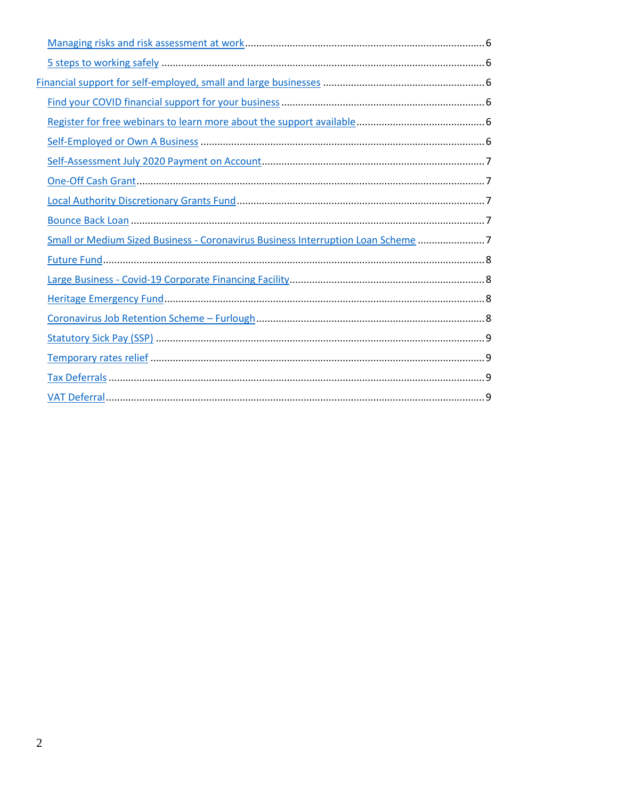| Small or Medium Sized Business - Coronavirus Business Interruption Loan Scheme 7 |  |
|----------------------------------------------------------------------------------|--|
|                                                                                  |  |
|                                                                                  |  |
|                                                                                  |  |
|                                                                                  |  |
|                                                                                  |  |
|                                                                                  |  |
|                                                                                  |  |
|                                                                                  |  |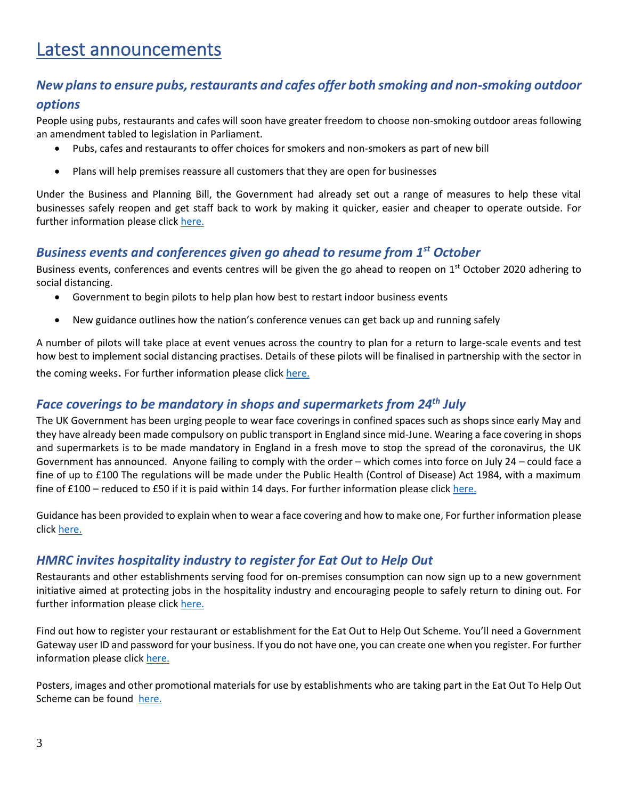# <span id="page-2-0"></span>Latest announcements

# <span id="page-2-1"></span>*New plans to ensure pubs, restaurants and cafes offer both smoking and non-smoking outdoor*

#### *options*

People using pubs, restaurants and cafes will soon have greater freedom to choose non-smoking outdoor areas following an amendment tabled to legislation in Parliament.

- Pubs, cafes and restaurants to offer choices for smokers and non-smokers as part of new bill
- Plans will help premises reassure all customers that they are open for businesses

Under the Business and Planning Bill, the Government had already set out a range of measures to help these vital businesses safely reopen and get staff back to work by making it quicker, easier and cheaper to operate outside. For further information please click [here.](https://www.gov.uk/government/news/new-plans-to-ensure-pubs-restaurants-and-cafes-offer-both-smoking-and-non-smoking-outdoor-options?utm_source=a96eafc5-e2cf-4308-b09d-80cbeec1c163&utm_medium=email&utm_campaign=govuk-notifications&utm_content=daily)

# <span id="page-2-2"></span>*Business events and conferences given go ahead to resume from 1st October*

Business events, conferences and events centres will be given the go ahead to reopen on 1<sup>st</sup> October 2020 adhering to social distancing.

- Government to begin pilots to help plan how best to restart indoor business events
- New guidance outlines how the nation's conference venues can get back up and running safely

A number of pilots will take place at event venues across the country to plan for a return to large-scale events and test how best to implement social distancing practises. Details of these pilots will be finalised in partnership with the sector in the coming weeks. For further information please click [here.](https://www.gov.uk/government/news/business-events-and-conferences-given-go-ahead-to-resume-from-1-october?utm_source=7dff2dda-89ad-45e3-a1a9-7e6a9fc00064&utm_medium=email&utm_campaign=govuk-notifications&utm_content=daily)

# <span id="page-2-3"></span>*Face coverings to be mandatory in shops and supermarkets from 24th July*

The UK Government has been urging people to wear face coverings in confined spaces such as shops since early May and they have already been made compulsory on public transport in England since mid-June. Wearing a face covering in shops and supermarkets is to be made mandatory in England in a fresh move to stop the spread of the coronavirus, the UK Government has announced. Anyone failing to comply with the order – which comes into force on July 24 – could face a fine of up to £100 The regulations will be made under the Public Health (Control of Disease) Act 1984, with a maximum fine of £100 – reduced to £50 if it is paid within 14 days. For further information please click [here.](https://www.gov.uk/government/speeches/face-coverings-to-be-mandatory-in-shops-and-supermarkets-from-24-july?utm_source=c6b2ee0b-9d00-4bab-9401-7e2afb1f6d21&utm_medium=email&utm_campaign=govuk-notifications&utm_content=daily)

Guidance has been provided to explain when to wear a face covering and how to make one, For further information please click [here.](https://www.gov.uk/government/publications/face-coverings-when-to-wear-one-and-how-to-make-your-own/face-coverings-when-to-wear-one-and-how-to-make-your-own)

# <span id="page-2-4"></span>*HMRC invites hospitality industry to register for Eat Out to Help Out*

Restaurants and other establishments serving food for on-premises consumption can now sign up to a new government initiative aimed at protecting jobs in the hospitality industry and encouraging people to safely return to dining out. For further information please click [here.](https://www.gov.uk/government/publications/get-more-information-about-the-eat-out-to-help-out-scheme/get-more-information-about-the-eat-out-to-help-out-scheme)

Find out how to register your restaurant or establishment for the Eat Out to Help Out Scheme. You'll need a Government Gateway user ID and password for your business. If you do not have one, you can create one when you register. For further information please click [here.](https://www.gov.uk/guidance/register-your-establishment-for-the-eat-out-to-help-out-scheme?utm_source=4783ef6b-1939-4072-8311-f58a0a39e451&utm_medium=email&utm_campaign=govuk-notifications&utm_content=daily)

Posters, images and other promotional materials for use by establishments who are taking part in the Eat Out To Help Out Scheme can be found [here.](https://www.gov.uk/government/publications/eat-out-to-help-out-scheme-promotional-materials?utm_source=eca9b856-2878-4866-8cd8-8cca1cba1c39&utm_medium=email&utm_campaign=govuk-notifications&utm_content=daily)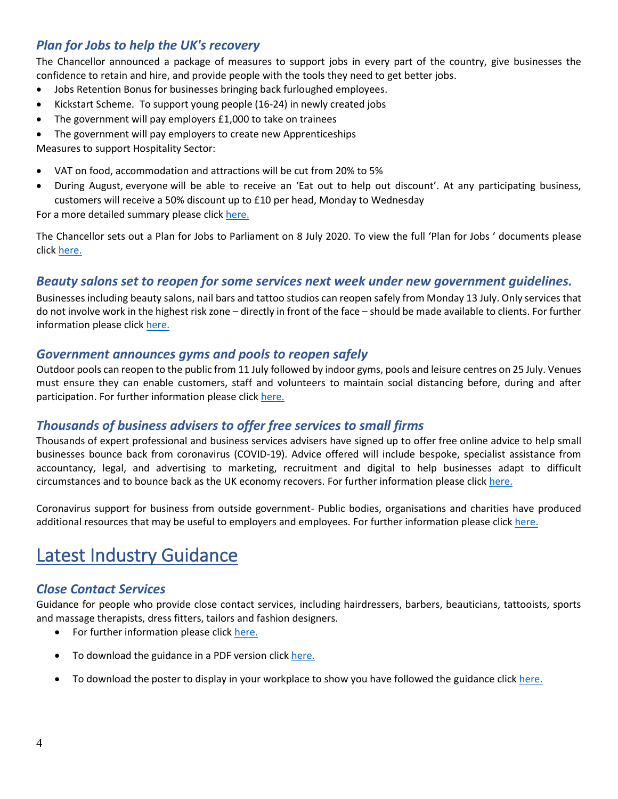# <span id="page-3-0"></span>*Plan for Jobs to help the UK's recovery*

The Chancellor announced a package of measures to support jobs in every part of the country, give businesses the confidence to retain and hire, and provide people with the tools they need to get better jobs.

- Jobs Retention Bonus for businesses bringing back furloughed employees.
- Kickstart Scheme. To support young people (16-24) in newly created jobs
- The government will pay employers £1,000 to take on trainees
- The government will pay employers to create new Apprenticeships

Measures to support Hospitality Sector:

- VAT on food, accommodation and attractions will be cut from 20% to 5%
- During August, everyone will be able to receive an 'Eat out to help out discount'. At any participating business, customers will receive a 50% discount up to £10 per head, Monday to Wednesday

For a more detailed summary please clic[k here.](https://www.gov.uk/government/news/rishis-plan-for-jobs-will-help-britain-bounce-back)

The Chancellor sets out a Plan for Jobs to Parliament on 8 July 2020. To view the full 'Plan for Jobs ' documents please click [here.](https://assets.publishing.service.gov.uk/government/uploads/system/uploads/attachment_data/file/898421/A_Plan_for_Jobs__Web_.pdf)

#### <span id="page-3-1"></span>*Beauty salons set to reopen for some services next week under new government guidelines.*

Businesses including beauty salons, nail bars and tattoo studios can reopen safely from Monday 13 July. Only services that do not involve work in the highest risk zone – directly in front of the face – should be made available to clients. For further information please click [here.](https://www.gov.uk/government/news/beauty-salons-set-to-reopen-for-some-services-next-week-under-new-government-guidelines)

#### <span id="page-3-2"></span>*Government announces gyms and pools to reopen safely*

Outdoor pools can reopen to the public from 11 July followed by indoor gyms, pools and leisure centres on 25 July. Venues must ensure they can enable customers, staff and volunteers to maintain social distancing before, during and after participation. For further information please click [here.](https://www.gov.uk/government/news/government-announces-gyms-and-pools-to-reopen-safely)

#### <span id="page-3-3"></span>*Thousands of business advisers to offer free services to small firms*

Thousands of expert professional and business services advisers have signed up to offer free online advice to help small businesses bounce back from coronavirus (COVID-19). Advice offered will include bespoke, specialist assistance from accountancy, legal, and advertising to marketing, recruitment and digital to help businesses adapt to difficult circumstances and to bounce back as the UK economy recovers. For further information please click [here.](https://www.gov.uk/government/news/thousands-of-business-advisers-to-offer-free-services-to-small-firms)

Coronavirus support for business from outside government- Public bodies, organisations and charities have produced additional resources that may be useful to employers and employees. For further information please click [here.](https://www.gov.uk/guidance/coronavirus-support-for-business-from-outside-government?utm_source=72217b78-158a-420e-8410-76f6f8136e8c&utm_medium=email&utm_campaign=govuk-notifications&utm_content=daily)

# <span id="page-3-4"></span>Latest Industry Guidance

## <span id="page-3-5"></span>*Close Contact Services*

Guidance for people who provide close contact services, including hairdressers, barbers, beauticians, tattooists, sports and massage therapists, dress fitters, tailors and fashion designers.

- For further information please click [here.](https://www.gov.uk/guidance/working-safely-during-coronavirus-covid-19/close-contact-services)
- To download the guidance in a PDF version clic[k here.](https://assets.publishing.service.gov.uk/media/5ef2889986650c12970e9b57/Keeping-workers-and-clients-safe-during-covid-19-close-contact-services-230620.pdf)
- To download the poster to display in your workplace to show you have followed the guidance click [here.](https://assets.publishing.service.gov.uk/media/5ef2895ee90e075c5582f4d1/staying-covid-19-secure-accessible.pdf)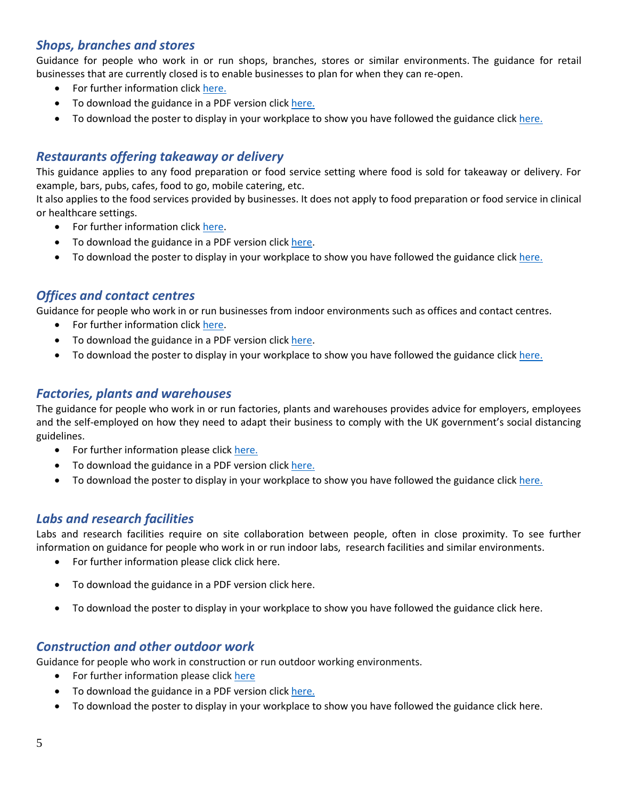# <span id="page-4-0"></span>*Shops, branches and stores*

Guidance for people who work in or run shops, branches, stores or similar environments. The guidance for retail businesses that are currently closed is to enable businesses to plan for when they can re-open.

- For further information click [here.](https://www.gov.uk/guidance/working-safely-during-coronavirus-covid-19/shops-and-branches)
- To download the guidance in a PDF version clic[k here.](https://assets.publishing.service.gov.uk/media/5eb9703de90e07082fa57ce0/working-safely-during-covid-19-shops-branches-110520.pdf)
- To download the poster to display in your workplace to show you have followed the guidance click [here.](https://assets.publishing.service.gov.uk/media/5ef2895ee90e075c5582f4d1/staying-covid-19-secure-accessible.pdf)

## <span id="page-4-1"></span>*Restaurants offering takeaway or delivery*

This guidance applies to any food preparation or food service setting where food is sold for takeaway or delivery. For example, bars, pubs, cafes, food to go, mobile catering, etc.

It also applies to the food services provided by businesses. It does not apply to food preparation or food service in clinical or healthcare settings.

- For further information click [here.](https://www.gov.uk/guidance/working-safely-during-coronavirus-covid-19/restaurants-offering-takeaway-or-delivery)
- To download the guidance in a PDF version clic[k here.](https://assets.publishing.service.gov.uk/media/5eb96e8e86650c278b077616/working-safely-during-covid-19-restaurants-takeaway-delivery-110520.pdf)
- To download the poster to display in your workplace to show you have followed the guidance click [here.](https://assets.publishing.service.gov.uk/media/5ef2895ee90e075c5582f4d1/staying-covid-19-secure-accessible.pdf)

#### <span id="page-4-2"></span>*Offices and contact centres*

Guidance for people who work in or run businesses from indoor environments such as offices and contact centres.

- For further information click [here.](https://www.gov.uk/guidance/working-safely-during-coronavirus-covid-19/offices-and-contact-centres)
- To download the guidance in a PDF version clic[k here.](https://assets.publishing.service.gov.uk/media/5eb97e7686650c278d4496ea/working-safely-during-covid-19-offices-contact-centres-110520.pdf)
- To download the poster to display in your workplace to show you have followed the guidance click [here.](https://assets.publishing.service.gov.uk/media/5ef2895ee90e075c5582f4d1/staying-covid-19-secure-accessible.pdf)

#### <span id="page-4-3"></span>*Factories, plants and warehouses*

The guidance for people who work in or run factories, plants and warehouses provides advice for employers, employees and the self-employed on how they need to adapt their business to comply with the UK government's social distancing guidelines.

- For further information please click [here.](https://www.gov.uk/guidance/working-safely-during-coronavirus-covid-19/factories-plants-and-warehouses)
- To download the guidance in a PDF version clic[k here.](https://assets.publishing.service.gov.uk/media/5eb965d5d3bf7f5d3c74a2dd/working-safely-during-covid-19-factories-plants-warehouses-110520.pdf)
- To download the poster to display in your workplace to show you have followed the guidance click [here.](https://assets.publishing.service.gov.uk/media/5ef2895ee90e075c5582f4d1/staying-covid-19-secure-accessible.pdf)

#### <span id="page-4-4"></span>*Labs and research facilities*

Labs and research facilities require on site collaboration between people, often in close proximity. To see further information on guidance for people who work in or run indoor labs, research facilities and similar environments.

- For further information please click click [here.](https://www.gov.uk/guidance/working-safely-during-coronavirus-covid-19/labs-and-research-facilities)
- To download the guidance in a PDF version clic[k here.](https://assets.publishing.service.gov.uk/media/5eb9752086650c2799a57ac5/working-safely-during-covid-19-labs-research-facilities-110520.pdf)
- To download the poster to display in your workplace to show you have followed the guidance click [here.](https://assets.publishing.service.gov.uk/media/5ef2895ee90e075c5582f4d1/staying-covid-19-secure-accessible.pdf)

#### <span id="page-4-5"></span>*Construction and other outdoor work*

Guidance for people who work in construction or run outdoor working environments.

- For further information please click [here](https://www.gov.uk/guidance/working-safely-during-coronavirus-covid-19/construction-and-other-outdoor-work)
- To download the guidance in a PDF version clic[k here.](https://assets.publishing.service.gov.uk/media/5eb961bfe90e070834b6675f/working-safely-during-covid-19-construction-outdoors-110520.pdf)
- To download the poster to display in your workplace to show you have followed the guidance click [here.](https://assets.publishing.service.gov.uk/media/5ef2895ee90e075c5582f4d1/staying-covid-19-secure-accessible.pdf)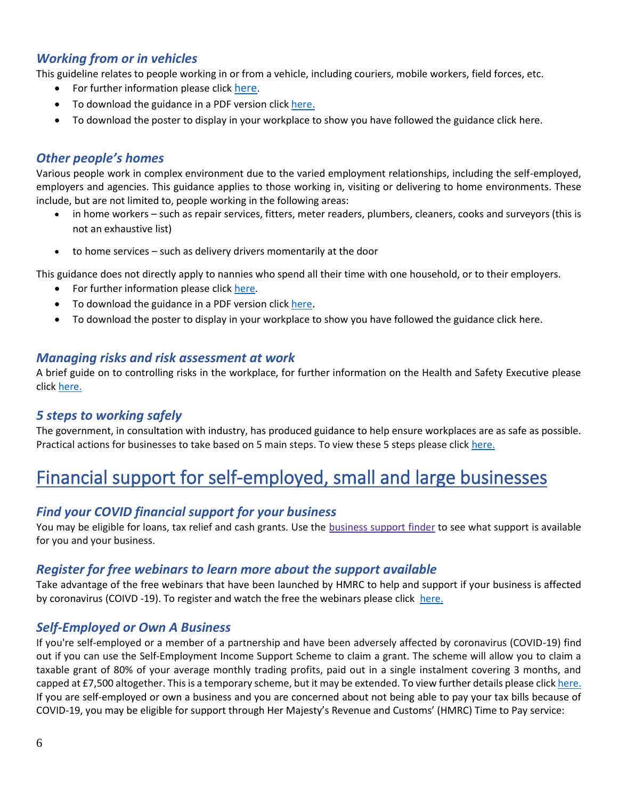## <span id="page-5-0"></span>*Working from or in vehicles*

This guideline relates to people working in or from a vehicle, including couriers, mobile workers, field forces, etc.

- For further information please click [here](https://www.gov.uk/guidance/working-safely-during-coronavirus-covid-19/vehicles).
- To download the guidance in a PDF version click [here](https://assets.publishing.service.gov.uk/media/5eb96cd6d3bf7f5d3a907e58/working-safely-during-covid-19-vehicles-110520.pdf)[.](https://assets.publishing.service.gov.uk/media/5eb96cd6d3bf7f5d3a907e58/working-safely-during-covid-19-vehicles-110520.pdf)
- To download the poster to display in your workplace to show you have followed the guidance click [here.](https://assets.publishing.service.gov.uk/media/5ef2895ee90e075c5582f4d1/staying-covid-19-secure-accessible.pdf)

#### <span id="page-5-1"></span>*Other people's homes*

Various people work in complex environment due to the varied employment relationships, including the self-employed, employers and agencies. This guidance applies to those working in, visiting or delivering to home environments. These include, but are not limited to, people working in the following areas:

- in home workers such as repair services, fitters, meter readers, plumbers, cleaners, cooks and surveyors (this is not an exhaustive list)
- to home services such as delivery drivers momentarily at the door

This guidance does not directly apply to nannies who spend all their time with one household, or to their employers.

- For further information please click [here.](https://www.gov.uk/guidance/working-safely-during-coronavirus-covid-19/homes)
- To download the guidance in a PDF version click [here](https://assets.publishing.service.gov.uk/media/5eb967e286650c2791ec7100/working-safely-during-covid-19-other-peoples-homes-110520.pdf).
- To download the poster to display in your workplace to show you have followed the guidance click [here.](https://assets.publishing.service.gov.uk/media/5ef2895ee90e075c5582f4d1/staying-covid-19-secure-accessible.pdf)

#### <span id="page-5-2"></span>*Managing risks and risk assessment at work*

A brief guide on to controlling risks in the workplace, for further information on the Health and Safety Executive please click [here.](https://www.hse.gov.uk/simple-health-safety/risk/index.htm)

#### <span id="page-5-3"></span>*5 steps to working safely*

The government, in consultation with industry, has produced guidance to help ensure workplaces are as safe as possible. Practical actions for businesses to take based on 5 main steps. To view these 5 steps please click [here.](https://www.gov.uk/guidance/working-safely-during-coronavirus-covid-19/5-steps-to-working-safely)

# <span id="page-5-4"></span>Financial support for self-employed, small and large businesses

## <span id="page-5-5"></span>*Find your COVID financial support for your business*

You may be eligible for loans, tax relief and cash grants. Use the [business](https://www.gov.uk/business-coronavirus-support-finder) support finder to see what support is available for you and your business.

#### <span id="page-5-6"></span>*Register for free webinars to learn more about the support available*

Take advantage of the free webinars that have been launched by HMRC to help and support if your business is affected by coronavirus (COIVD -19). To register and watch the free the webinars please click [here.](https://www.gov.uk/guidance/help-and-support-if-your-business-is-affected-by-coronavirus-covid-19?utm_source=a4b7c6f4-7063-4d88-957b-b68d6480a86d&utm_medium=email&utm_campaign=govuk-notifications&utm_content=daily)

#### <span id="page-5-7"></span>*Self-Employed or Own A Business*

If you're self-employed or a member of a partnership and have been adversely affected by coronavirus (COVID-19) find out if you can use the Self-Employment Income Support Scheme to claim a grant. The scheme will allow you to claim a taxable grant of 80% of your average monthly trading profits, paid out in a single instalment covering 3 months, and capped at £7,500 altogether. This is a temporary scheme, but it may be extended. To view further details please clic[k here.](https://www.gov.uk/guidance/claim-a-grant-through-the-coronavirus-covid-19-self-employment-income-support-scheme#other-help-you-can-get) If you are self-employed or own a business and you are concerned about not being able to pay your tax bills because of COVID-19, you may be eligible for support through Her Majesty's Revenue and Customs' (HMRC) Time to Pay service: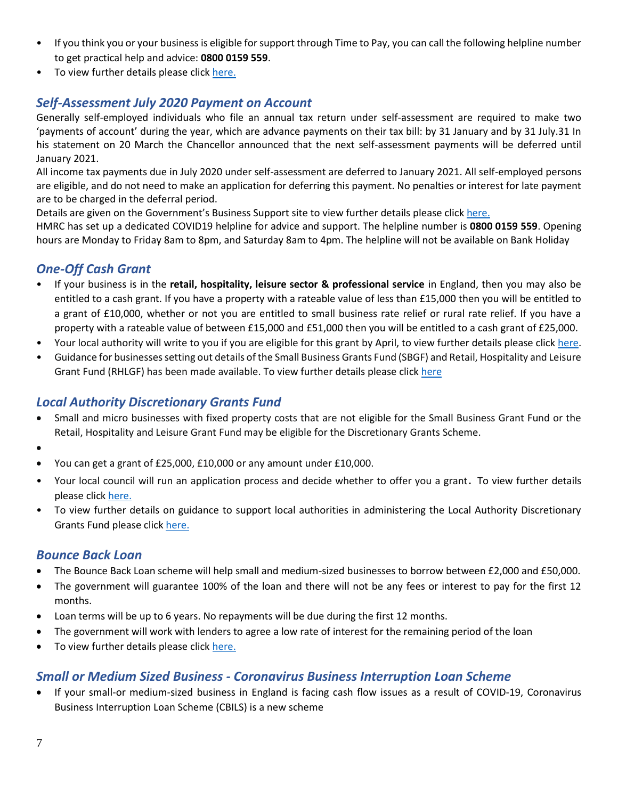- If you think you or your business is eligible for support through Time to Pay, you can call the following helpline number to get practical help and advice: **0800 0159 559**.
- To view further details please click [here.](https://www.gov.uk/government/news/tax-helpline-to-support-businesses-affected-by-coronavirus-covid-19)

# <span id="page-6-0"></span>*Self-Assessment July 2020 Payment on Account*

Generally self-employed individuals who file an annual tax return under self-assessment are required to make two 'payments of account' during the year, which are advance payments on their tax bill: by 31 January and by 31 July.31 In his statement on 20 March the Chancellor announced that the next self-assessment payments will be deferred until January 2021.

All income tax payments due in July 2020 under self-assessment are deferred to January 2021. All self-employed persons are eligible, and do not need to make an application for deferring this payment. No penalties or interest for late payment are to be charged in the deferral period.

Details are given on the Government's Business Support site to view further details please click [here.](https://www.businesssupport.gov.uk/income-tax-deferral-for-the-self-employed/)

HMRC has set up a dedicated COVID19 helpline for advice and support. The helpline number is **0800 0159 559**. Opening hours are Monday to Friday 8am to 8pm, and Saturday 8am to 4pm. The helpline will not be available on Bank Holiday

# <span id="page-6-1"></span>*One-Off Cash Grant*

- If your business is in the **retail, hospitality, leisure sector & professional service** in England, then you may also be entitled to a cash grant. If you have a property with a rateable value of less than £15,000 then you will be entitled to a grant of £10,000, whether or not you are entitled to small business rate relief or rural rate relief. If you have a property with a rateable value of between £15,000 and £51,000 then you will be entitled to a cash grant of £25,000.
- Your local authority will write to you if you are eligible for this grant by April, to view further details please clic[k here.](https://www.gov.uk/government/publications/guidance-to-employers-and-businesses-about-covid-19/covid-19-support-for-businesses)
- Guidance for businesses setting out details of the Small Business Grants Fund (SBGF) and Retail, Hospitality and Leisure Grant Fund (RHLGF) has been made available. To view further details please click [here](https://www.gov.uk/government/publications/coronavirus-covid-19-business-support-grant-funding-guidance-for-businesses)

# <span id="page-6-2"></span>*Local Authority Discretionary Grants Fund*

- Small and micro businesses with fixed property costs that are not eligible for the Small Business Grant Fund or the Retail, Hospitality and Leisure Grant Fund may be eligible for the Discretionary Grants Scheme.
- •
- You can get a grant of £25,000, £10,000 or any amount under £10,000.
- Your local council will run an application process and decide whether to offer you a grant. To view further details please click [here.](https://www.gov.uk/guidance/apply-for-the-coronavirus-local-authority-discretionary-grants-fund)
- To view further details on guidance to support local authorities in administering the Local Authority Discretionary Grants Fund please click [here.](https://assets.publishing.service.gov.uk/government/uploads/system/uploads/attachment_data/file/887310/local-authority-discretionary-fund-la-guidance-v2.pdf)

#### <span id="page-6-3"></span>*Bounce Back Loan*

- The Bounce Back Loan scheme will help small and medium-sized businesses to borrow between £2,000 and £50,000.
- The government will guarantee 100% of the loan and there will not be any fees or interest to pay for the first 12 months.
- Loan terms will be up to 6 years. No repayments will be due during the first 12 months.
- The government will work with lenders to agree a low rate of interest for the remaining period of the loan
- To view further details please click [here.](https://www.gov.uk/guidance/apply-for-a-coronavirus-bounce-back-loan)

## <span id="page-6-4"></span>*Small or Medium Sized Business - Coronavirus Business Interruption Loan Scheme*

• If your small-or medium-sized business in England is facing cash flow issues as a result of COVID-19, Coronavirus Business Interruption Loan Scheme (CBILS) is a new scheme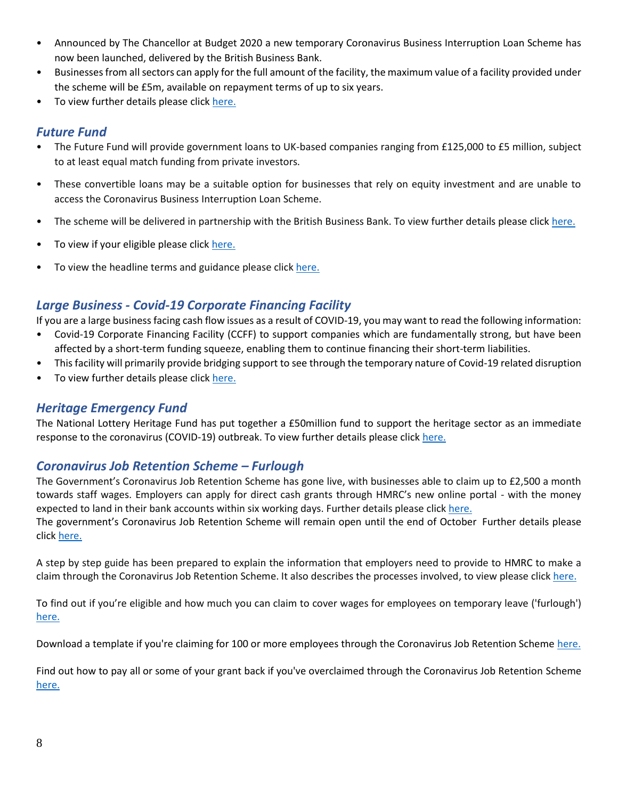- Announced by The Chancellor at Budget 2020 a new temporary Coronavirus Business Interruption Loan Scheme has now been launched, delivered by the British Business Bank.
- Businesses from all sectors can apply for the full amount of the facility, the maximum value of a facility provided under the scheme will be £5m, available on repayment terms of up to six years.
- To view further details please click [here.](https://www.british-business-bank.co.uk/ourpartners/coronavirus-business-interruption-loan-scheme-cbils/)

#### <span id="page-7-0"></span>*Future Fund*

- The Future Fund will provide government loans to UK-based companies ranging from £125,000 to £5 million, subject to at least equal match funding from private investors.
- These convertible loans may be a suitable option for businesses that rely on equity investment and are unable to access the Coronavirus Business Interruption Loan Scheme.
- The scheme will be delivered in partnership with the British Business Bank. To view further details please click [here.](https://www.gov.uk/government/news/future-fund-launches-today)
- To view if your eligible please clic[k here.](https://www.gov.uk/guidance/future-fund)
- To view the headline terms and guidance please click [here.](https://assets.publishing.service.gov.uk/government/uploads/system/uploads/attachment_data/file/880119/Convertible_Loan_Key_Terms_-__Final_Version_.pdf)

# <span id="page-7-1"></span>*Large Business - Covid-19 Corporate Financing Facility*

If you are a large business facing cash flow issues as a result of COVID-19, you may want to read the following information:

- Covid-19 Corporate Financing Facility (CCFF) to support companies which are fundamentally strong, but have been affected by a short-term funding squeeze, enabling them to continue financing their short-term liabilities.
- This facility will primarily provide bridging support to see through the temporary nature of Covid-19 related disruption
- To view further details please click [here.](https://www.gov.uk/government/publications/launch-of-covid-19-corporate-financing-facility-ccff)

## <span id="page-7-2"></span>*Heritage Emergency Fund*

The National Lottery Heritage Fund has put together a £50million fund to support the heritage sector as an immediate response to the coronavirus (COVID-19) outbreak. To view further details please clic[k here.](https://www.heritagefund.org.uk/news/heritage-emergency-fund-launches-help-sector?utm_source=Trustees%20of%20the%20National%20Heritage%20Memorial%20Fund&utm_medium=email&utm_campaign=11448846_News%26Updates-Mar20&utm_content=HEF%20news%20story&dm_i=12AA,6TDZI,SXOQTL,RAONY,1)

## <span id="page-7-3"></span>*Coronavirus Job Retention Scheme – Furlough*

The Government's Coronavirus Job Retention Scheme has gone live, with businesses able to claim up to £2,500 a month towards staff wages. Employers can apply for direct cash grants through HMRC's new online portal - with the money expected to land in their bank accounts within six working days. Further details please clic[k here.](https://www.gov.uk/government/news/coronavirus-job-retention-scheme-up-and-running?utm_source=8b1c5c91-1aed-4eca-95fe-5e7a4f4a2d59&utm_medium=email&utm_campaign=govuk-notifications&utm_content=daily)

The government's Coronavirus Job Retention Scheme will remain open until the end of October Further details please click [here.](https://www.gov.uk/government/news/chancellor-extends-furlough-scheme-until-october?utm_source=469e4bd6-b6c1-4149-a76b-97f84a86bb07&utm_medium=email&utm_campaign=govuk-notifications&utm_content=daily)

A step by step guide has been prepared to explain the information that employers need to provide to HMRC to make a claim through the Coronavirus Job Retention Scheme. It also describes the processes involved, to view please click [here.](https://assets.publishing.service.gov.uk/government/uploads/system/uploads/attachment_data/file/880376/Coronavirus_Job_Retention_Scheme_step_by_step_guide_for_employers.pdf)

To find out if you're eligible and how much you can claim to cover wages for employees on temporary leave ('furlough') [here.](https://www.gov.uk/guidance/claim-for-wage-costs-through-the-coronavirus-job-retention-scheme#contents)

Download a template if you're claiming for 100 or more employees through the Coronavirus Job Retention Scheme [here.](https://www.gov.uk/government/publications/download-a-template-if-youre-claiming-for-100-or-more-employees-through-the-coronavirus-job-retention-scheme?utm_source=39bc9a5c-5198-492e-a21a-816ef4922b17&utm_medium=email&utm_campaign=govuk-notifications&utm_content=daily)

Find out how to pay all or some of your grant back if you've overclaimed through the Coronavirus Job Retention Scheme [here.](https://www.gov.uk/guidance/pay-coronavirus-job-retention-scheme-grants-back?utm_source=d05d7002-4659-4a1a-9141-1a1eb85ced82&utm_medium=email&utm_campaign=govuk-notifications&utm_content=daily)